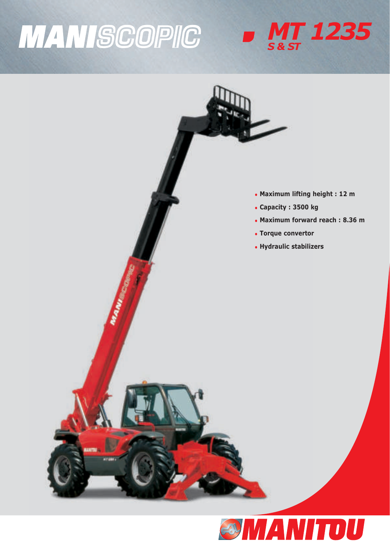# **MANISCOPIC**